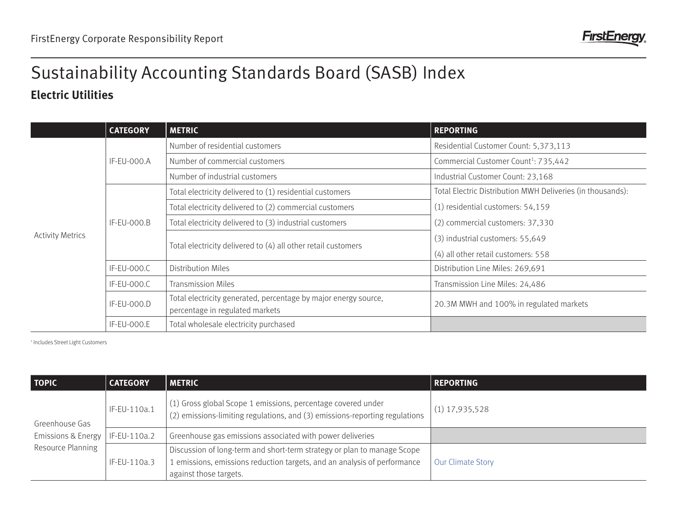

## **Electric Utilities** Sustainability Accounting Standards Board (SASB) Index

|                         | <b>CATEGORY</b>    | <b>METRIC</b>                                                                                      | <b>REPORTING</b>                                           |
|-------------------------|--------------------|----------------------------------------------------------------------------------------------------|------------------------------------------------------------|
| <b>Activity Metrics</b> | <b>IF-EU-000.A</b> | Number of residential customers                                                                    | Residential Customer Count: 5,373,113                      |
|                         |                    | Number of commercial customers                                                                     | Commercial Customer Count <sup>1</sup> : 735,442           |
|                         |                    | Number of industrial customers                                                                     | Industrial Customer Count: 23,168                          |
|                         | IF-EU-000.B        | Total electricity delivered to (1) residential customers                                           | Total Electric Distribution MWH Deliveries (in thousands): |
|                         |                    | Total electricity delivered to (2) commercial customers                                            | (1) residential customers: 54,159                          |
|                         |                    | Total electricity delivered to (3) industrial customers                                            | (2) commercial customers: 37,330                           |
|                         |                    |                                                                                                    | (3) industrial customers: 55,649                           |
|                         |                    | Total electricity delivered to (4) all other retail customers                                      | (4) all other retail customers: 558                        |
|                         | IF-EU-000.C        | <b>Distribution Miles</b>                                                                          | Distribution Line Miles: 269,691                           |
|                         | IF-EU-000.C        | <b>Transmission Miles</b>                                                                          | Transmission Line Miles: 24,486                            |
|                         | IF-EU-000.D        | Total electricity generated, percentage by major energy source,<br>percentage in regulated markets | 20.3M MWH and 100% in regulated markets                    |
|                         | IF-EU-000.E        | Total wholesale electricity purchased                                                              |                                                            |

1 Includes Street Light Customers

| <b>TOPIC</b>                                                         | <b>CATEGORY</b> | <b>METRIC</b>                                                                                                                                                                 | <b>REPORTING</b>  |
|----------------------------------------------------------------------|-----------------|-------------------------------------------------------------------------------------------------------------------------------------------------------------------------------|-------------------|
| Greenhouse Gas<br><b>Emissions &amp; Energy</b><br>Resource Planning | IF-EU-110a.1    | (1) Gross global Scope 1 emissions, percentage covered under<br>(2) emissions-limiting regulations, and (3) emissions-reporting regulations                                   | $(1)$ 17,935,528  |
|                                                                      | IF-EU-110a.2    | Greenhouse gas emissions associated with power deliveries                                                                                                                     |                   |
|                                                                      | IF-EU-110a.3    | Discussion of long-term and short-term strategy or plan to manage Scope<br>1 emissions, emissions reduction targets, and an analysis of performance<br>against those targets. | Our Climate Story |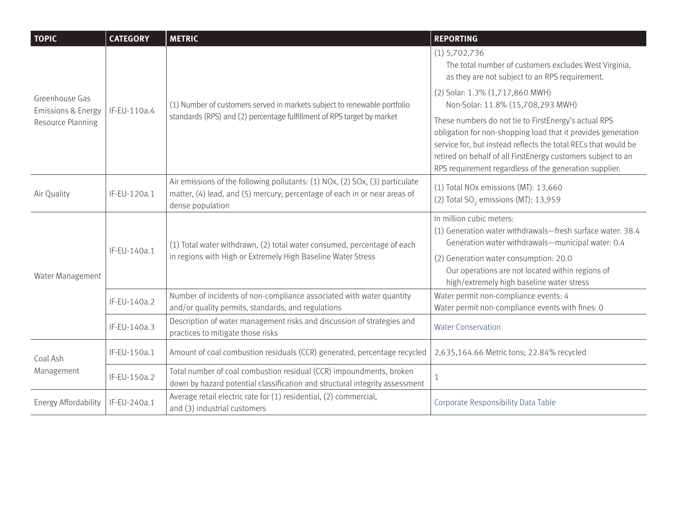| <b>TOPIC</b>                                    | <b>CATEGORY</b>                                                        | <b>METRIC</b>                                                                                                                                                                                                                                                                                                                                                                                                                                                                                                                                                                                                 | <b>REPORTING</b>                                                                                                                                                                                                                      |
|-------------------------------------------------|------------------------------------------------------------------------|---------------------------------------------------------------------------------------------------------------------------------------------------------------------------------------------------------------------------------------------------------------------------------------------------------------------------------------------------------------------------------------------------------------------------------------------------------------------------------------------------------------------------------------------------------------------------------------------------------------|---------------------------------------------------------------------------------------------------------------------------------------------------------------------------------------------------------------------------------------|
|                                                 | IF-EU-110a.4                                                           | (1) Number of customers served in markets subject to renewable portfolio                                                                                                                                                                                                                                                                                                                                                                                                                                                                                                                                      | $(1)$ 5,702,736<br>The total number of customers excludes West Virginia,<br>as they are not subject to an RPS requirement.                                                                                                            |
| Greenhouse Gas<br><b>Emissions &amp; Energy</b> |                                                                        |                                                                                                                                                                                                                                                                                                                                                                                                                                                                                                                                                                                                               | (2) Solar: 1.3% (1,717,860 MWH)<br>Non-Solar: 11.8% (15,708,293 MWH)                                                                                                                                                                  |
| Resource Planning                               | standards (RPS) and (2) percentage fulfillment of RPS target by market | These numbers do not tie to FirstEnergy's actual RPS<br>RPS requirement regardless of the generation supplier.<br>(1) Total NOx emissions (MT): 13,660<br>(2) Total SO <sub>2</sub> emissions (MT): 13,959<br>In million cubic meters:<br>Generation water withdrawals-municipal water: 0.4<br>(2) Generation water consumption: 20.0<br>Our operations are not located within regions of<br>high/extremely high baseline water stress<br>Water permit non-compliance events: 4<br>Water permit non-compliance events with fines: 0<br><b>Water Conservation</b><br>2,635,164.66 Metric tons; 22.84% recycled |                                                                                                                                                                                                                                       |
| Air Quality                                     | IF-EU-120a.1                                                           | Air emissions of the following pollutants: (1) NOx, (2) SOx, (3) particulate<br>matter, (4) lead, and (5) mercury; percentage of each in or near areas of<br>dense population                                                                                                                                                                                                                                                                                                                                                                                                                                 |                                                                                                                                                                                                                                       |
| Water Management                                | IF-EU-140a.1                                                           | (1) Total water withdrawn, (2) total water consumed, percentage of each<br>in regions with High or Extremely High Baseline Water Stress                                                                                                                                                                                                                                                                                                                                                                                                                                                                       | (1) Generation water withdrawals-fresh surface water: 38.4                                                                                                                                                                            |
|                                                 | IF-EU-140a.2                                                           | Number of incidents of non-compliance associated with water quantity<br>and/or quality permits, standards, and regulations                                                                                                                                                                                                                                                                                                                                                                                                                                                                                    | obligation for non-shopping load that it provides generation<br>service for, but instead reflects the total RECs that would be<br>retired on behalf of all FirstEnergy customers subject to an<br>Corporate Responsibility Data Table |
|                                                 | IF-EU-140a.3                                                           | Description of water management risks and discussion of strategies and<br>practices to mitigate those risks                                                                                                                                                                                                                                                                                                                                                                                                                                                                                                   |                                                                                                                                                                                                                                       |
| Coal Ash<br>Management                          | IF-EU-150a.1                                                           | Amount of coal combustion residuals (CCR) generated, percentage recycled                                                                                                                                                                                                                                                                                                                                                                                                                                                                                                                                      |                                                                                                                                                                                                                                       |
|                                                 | IF-EU-150a.2                                                           | Total number of coal combustion residual (CCR) impoundments, broken<br>down by hazard potential classification and structural integrity assessment                                                                                                                                                                                                                                                                                                                                                                                                                                                            |                                                                                                                                                                                                                                       |
| Energy Affordability                            | IF-EU-240a.1                                                           | Average retail electric rate for (1) residential, (2) commercial,<br>and (3) industrial customers                                                                                                                                                                                                                                                                                                                                                                                                                                                                                                             |                                                                                                                                                                                                                                       |